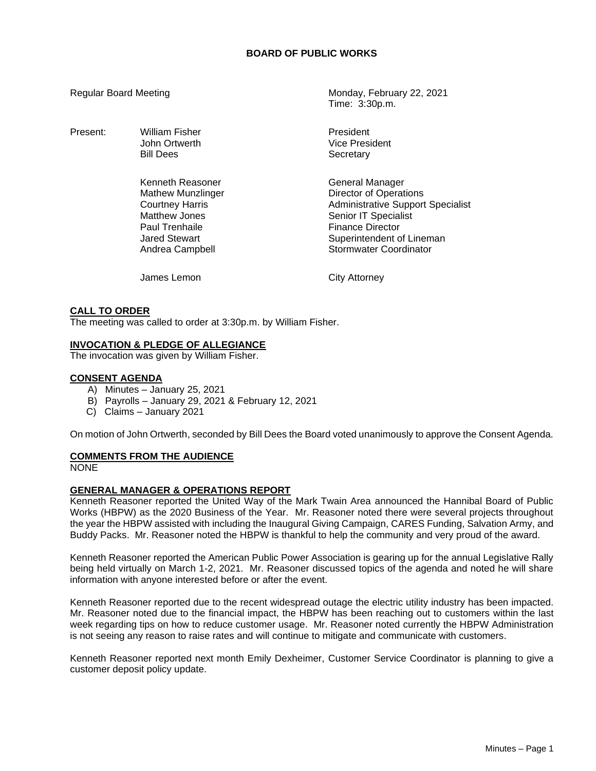## **BOARD OF PUBLIC WORKS**

Present: William Fisher **President** President

Kenneth Reasoner General Manager Paul Trenhaile **Finance Director** 

Regular Board Meeting Monday, February 22, 2021 Time: 3:30p.m.

> John Ortwerth **Vice President** Bill Dees Secretary

Mathew Munzlinger **Director of Operations**<br>
Courtney Harris **Courtney Harris** Courtney Harris **Administrative Support Specialist**<br>
Matthew Jones **Administrative Support Specialist** Senior IT Specialist Jared Stewart Superintendent of Lineman Andrea Campbell **Stormwater Coordinator** 

James Lemon City Attorney

#### **CALL TO ORDER**

The meeting was called to order at 3:30p.m. by William Fisher.

### **INVOCATION & PLEDGE OF ALLEGIANCE**

The invocation was given by William Fisher.

#### **CONSENT AGENDA**

- A) Minutes January 25, 2021
- B) Payrolls January 29, 2021 & February 12, 2021
- C) Claims January 2021

On motion of John Ortwerth, seconded by Bill Dees the Board voted unanimously to approve the Consent Agenda.

### **COMMENTS FROM THE AUDIENCE**

NONE

### **GENERAL MANAGER & OPERATIONS REPORT**

Kenneth Reasoner reported the United Way of the Mark Twain Area announced the Hannibal Board of Public Works (HBPW) as the 2020 Business of the Year. Mr. Reasoner noted there were several projects throughout the year the HBPW assisted with including the Inaugural Giving Campaign, CARES Funding, Salvation Army, and Buddy Packs. Mr. Reasoner noted the HBPW is thankful to help the community and very proud of the award.

Kenneth Reasoner reported the American Public Power Association is gearing up for the annual Legislative Rally being held virtually on March 1-2, 2021. Mr. Reasoner discussed topics of the agenda and noted he will share information with anyone interested before or after the event.

Kenneth Reasoner reported due to the recent widespread outage the electric utility industry has been impacted. Mr. Reasoner noted due to the financial impact, the HBPW has been reaching out to customers within the last week regarding tips on how to reduce customer usage. Mr. Reasoner noted currently the HBPW Administration is not seeing any reason to raise rates and will continue to mitigate and communicate with customers.

Kenneth Reasoner reported next month Emily Dexheimer, Customer Service Coordinator is planning to give a customer deposit policy update.